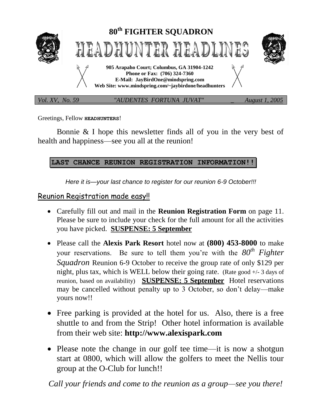

Greetings, Fellow **HEADHUNTERS**!

Bonnie & I hope this newsletter finds all of you in the very best of health and happiness—see you all at the reunion!

# **LAST CHANCE REUNION REGISTRATION INFORMATION!!**

*Here it is—your last chance to register for our reunion 6-9 October!!!*

# Reunion Registration made easy!!

- Carefully fill out and mail in the **Reunion Registration Form** on page 11. Please be sure to include your check for the full amount for all the activities you have picked. **SUSPENSE: 5 September**
- Please call the **Alexis Park Resort** hotel now at **(800) 453-8000** to make your reservations. Be sure to tell them you're with the *80th Fighter Squadron* Reunion 6-9 October to receive the group rate of only \$129 per night, plus tax, which is WELL below their going rate. (Rate good +/- 3 days of reunion, based on availability) **SUSPENSE: 5 September** Hotel reservations may be cancelled without penalty up to 3 October, so don't delay—make yours now!!
- Free parking is provided at the hotel for us. Also, there is a free shuttle to and from the Strip! Other hotel information is available from their web site: **http://www.alexispark.com**
- Please note the change in our golf tee time—it is now a shotgun start at 0800, which will allow the golfers to meet the Nellis tour group at the O-Club for lunch!!

*Call your friends and come to the reunion as a group—see you there!*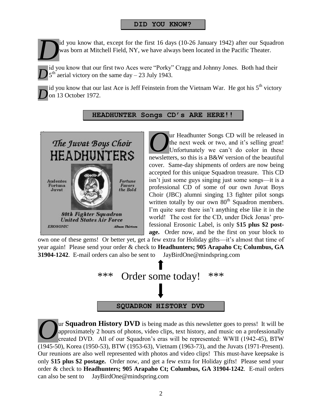# **DID YOU KNOW?**

id you know that, except for the first 16 days (10-26 January 1942) after our Squadron was born at Mitchell Field, NY, we have always been located in the Pacific Theater. *D*

id you know that our first two Aces were "Porky" Cragg and Johnny Jones. Both had their  $5<sup>th</sup>$  aerial victory on the same day – 23 July 1943. *D*

id you know that our last Ace is Jeff Feinstein from the Vietnam War. He got his  $5<sup>th</sup>$  victory on 13 October 1972. *D*

# **HEADHUNTER Songs CD's ARE HERE!!**



ur Headhunter Songs CD will be released in the next week or two, and it's selling great! Unfortunately we can't do color in these newsletters, so this is a B&W version of the beautiful cover. Same-day shipments of orders are now being accepted for this unique Squadron treasure. This CD isn't just some guys singing just some songs—it is a professional CD of some of our own Juvat Boys Choir (JBC) alumni singing 13 fighter pilot songs written totally by our own  $80<sup>th</sup>$  Squadron members. I'm quite sure there isn't anything else like it in the world! The cost for the CD, under Dick Jonas' professional Erosonic Label, is only \$**15 plus \$2 postage.** Order now, and be the first on your block to *O*

own one of these gems! Or better yet, get a few extra for Holiday gifts—it's almost that time of year again! Please send your order & check to **Headhunters; 905 Arapaho Ct; Columbus, GA 31904-1242**. E-mail orders can also be sent to JayBirdOne@mindspring.com



ur **Squadron History DVD** is being made as this newsletter goes to press! It will be approximately 2 hours of photos, video clips, text history, and music on a professionally created DVD. All of our Squadron's eras will be represented: WWII (1942-45), BTW (1945-50), Korea (1950-53), BTW (1953-63), Vietnam (1963-73), and the Juvats (1971-Present). Our reunions are also well represented with photos and video clips! This must-have keepsake is only \$**15 plus \$2 postage.** Order now, and get a few extra for Holiday gifts! Please send your order & check to **Headhunters; 905 Arapaho Ct; Columbus, GA 31904-1242**. E-mail orders can also be sent to JayBirdOne@mindspring.com *O*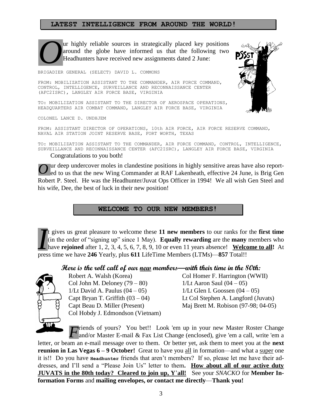## **LATEST INTELLIGENCE FROM AROUND THE WORLD!**



ur highly reliable sources in strategically placed key positions around the globe have informed us that the following two Headhunters have received new assignments dated 2 June:

BRIGADIER GENERAL (SELECT) DAVID L. COMMONS

FROM: MOBILIZATION ASSISTANT TO THE COMMANDER, AIR FORCE COMMAND, CONTROL, INTELLIGENCE, SURVEILLANCE AND RECONNAISSANCE CENTER (AFC2ISRC), LANGLEY AIR FORCE BASE, VIRGINIA

TO: MOBILIZATION ASSISTANT TO THE DIRECTOR OF AEROSPACE OPERATIONS, HEADQUARTERS AIR COMBAT COMMAND, LANGLEY AIR FORCE BASE, VIRGINIA

COLONEL LANCE D. UNDHJEM

FROM: ASSISTANT DIRECTOR OF OPERATIONS, 10th AIR FORCE, AIR FORCE RESERVE COMMAND, NAVAL AIR STATION JOINT RESERVE BASE, FORT WORTH, TEXAS

TO: MOBILIZATION ASSISTANT TO THE COMMANDER, AIR FORCE COMMAND, CONTROL, INTELLIGENCE, SURVEILLANCE AND RECONNAISSANCE CENTER (AFC2ISRC), LANGLEY AIR FORCE BASE, VIRGINIA Congratulations to you both!

ur deep undercover moles in clandestine positions in highly sensitive areas have also report-Our deep undercover moles in clandestine positions in highly sensitive areas have also reported to us that the new Wing Commander at RAF Lakenheath, effective 24 June, is Brig Gen Robert P. Steel. He was the Headhunter/Juvat Ops Officer in 1994! We all wish Gen Steel and his wife, Dee, the best of luck in their new position!

**WELCOME TO OUR NEW MEMBERS!**

t gives us great pleasure to welcome these **11 new members** to our ranks for the **first time**  (in the order of "signing up" since 1 May). **Equally rewarding** are the **many** members who have **rejoined** after 1, 2, 3, 4, 5, 6, 7, 8, 9, 10 or even 11 years absence! **Welcome to all!** At t gives us great pleasure to welcome these 11 new members to our ranks for (in the order of "signing up" since 1 May). **Equally rewarding** are the **many** have **rejoined** after 1, 2, 3, 4, 5, 6, 7, 8, 9, 10 or even 11 years

#### **Here is the roll call of our new members—with their time in the 80th:**



Col John M. Deloney  $(79 - 80)$  1/Lt Aaron Saul  $(04 - 05)$  $1/Lt$  David A. Paulus  $(04 - 05)$  1/Lt Glen I. Goossen  $(04 - 05)$ Col Hobdy J. Edmondson (Vietnam)

Robert A. Walsh (Korea) Col Homer F. Harrington (WWII) Capt Bryan T. Griffith  $(03 - 04)$  Lt Col Stephen A. Langford (Juvats) Capt Beau D. Miller (Present) Maj Brett M. Robison (97-98; 04-05)

*F* riends of yours? You bet!! Look 'em up in your new Master Roster Change and/or Master E-mail & Fax List Change (enclosed), give 'em a call, write 'em a and/or Master E-mail & Fax List Change (enclosed), give 'em a call, write 'em a

letter, or beam an e-mail message over to them. Or better yet, ask them to meet you at the **next reunion in Las Vegas**  $6 - 9$  **October!** Great to have you all in formation—and what a super one it is!! Do you have **Headhunter** friends that aren't members? If so, please let me have their addresses, and I'll send a "Please Join Us" letter to them**. How about all of our active duty JUVATS in the 80th today? Cleared to join up, Y**'**all!** See your *SNACKO* for **Member Information Forms** and **mailing envelopes, or contact me directly**—**Thank you!**

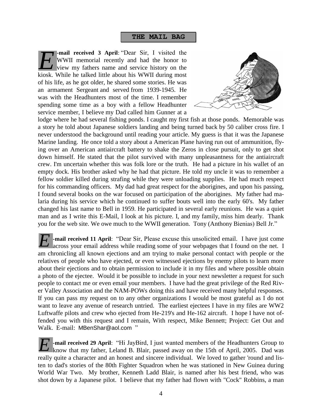#### **THE MAIL BAG**

**-mail received 3 April**: "Dear Sir, I visited the WWII memorial recently and had the honor to view my fathers name and service history on the kiosk. While he talked little about his WWII during most of his life, as he got older, he shared some stories. He was an armament Sergeant and served from 1939-1945. He was with the Headhunters most of the time. I remember spending some time as a boy with a fellow Headhunter service member, I believe my Dad called him Gunner at a *E*



lodge where he had several fishing ponds. I caught my first fish at those ponds. Memorable was a story he told about Japanese soldiers landing and being turned back by 50 caliber cross fire. I never understood the background until reading your article. My guess is that it was the Japanese Marine landing. He once told a story about a American Plane having run out of ammunition, flying over an American antiaircraft battery to shake the Zeros in close pursuit, only to get shot down himself. He stated that the pilot survived with many unpleasantness for the antiaircraft crew. I'm uncertain whether this was folk lore or the truth. He had a picture in his wallet of an empty dock. His brother asked why he had that picture. He told my uncle it was to remember a fellow soldier killed during strafing while they were unloading supplies. He had much respect for his commanding officers. My dad had great respect for the aborigines, and upon his passing, I found several books on the war focused on participation of the aborigines. My father had malaria during his service which he continued to suffer bouts well into the early 60's. My father changed his last name to Bell in 1959. He participated in several early reunions. He was a quiet man and as I write this E-Mail, I look at his picture. I, and my family, miss him dearly. Thank you for the web site. We owe much to the WWII generation. Tony (Anthony Bienias) Bell Jr."

**-mail received 11 April**: "Dear Sir, Please excuse this unsolicited email. I have just come across your email address while reading some of your webpages that I found on the net. I am chronicling all known ejections and am trying to make personal contact with people or the relatives of people who have ejected, or even witnessed ejections by enemy pilots to learn more about their ejections and to obtain permission to include it in my files and where possible obtain a photo of the ejectee. Would it be possible to include in your next newsletter a request for such people to contact me or even email your members. I have had the great privilege of the Red River Valley Association and the NAM-POWs doing this and have received many helpful responses. If you can pass my request on to any other organizations I would be most grateful as I do not want to leave any avenue of research untried. The earliest ejectees I have in my files are WW2 Luftwaffe pilots and crew who ejected from He-219's and He-162 aircraft. I hope I have not offended you with this request and I remain, With respect, Mike Bennett; Project: Get Out and Walk. E-mail: MBenShar@aol.com " *E*

**-mail received 29 April**: "Hi JayBird, I just wanted members of the Headhunters Group to know that my father, Leland B. Blair, passed away on the 15th of April, 2005. Dad was really quite a character and an honest and sincere individual. We loved to gather 'round and listen to dad's stories of the 80th Fighter Squadron when he was stationed in New Guinea during World War Two. My brother, Kenneth Ladd Blair, is named after his best friend, who was shot down by a Japanese pilot. I believe that my father had flown with "Cock" Robbins, a man *E*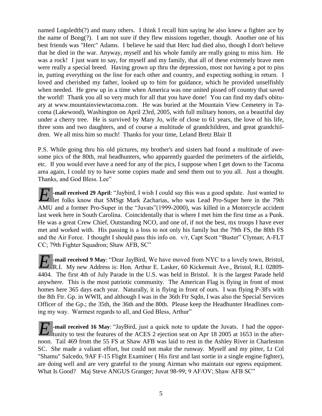named Logsledth(?) and many others. I think I recall him saying he also knew a fighter ace by the name of Bong(?). I am not sure if they flew missions together, though. Another one of his best friends was "Herc" Adams. I believe he said that Herc had died also, though I don't believe that he died in the war. Anyway, myself and his whole family are really going to miss him. He was a rock! I just want to say, for myself and my family, that all of these extremely brave men were really a special breed. Having grown up thru the depression, most not having a pot to piss in, putting everything on the line for each other and country, and expecting nothing in return. I loved and cherished my father, looked up to him for guidance, which he provided unselfishly when needed. He grew up in a time when America was one united pissed off country that saved the world! Thank you all so very much for all that you have done! You can find my dad's obituary at [www.mountainviewtacoma.com.](http://www.mountainviewtacoma.com/) He was buried at the Mountain View Cemetery in Tacoma (Lakewood), Washington on April 23rd, 2005, with full military honors, on a beautiful day under a cherry tree. He is survived by Mary Jo, wife of close to 61 years, the love of his life, three sons and two daughters, and of course a multitude of grandchildren, and great grandchildren. We all miss him so much! Thanks for your time, Leland Bretz Blair II

P.S. While going thru his old pictures, my brother's and sisters had found a multitude of awesome pics of the 80th, real headhunters, who apparently guarded the perimeters of the airfields, etc. If you would ever have a need for any of the pics, I suppose when I get down to the Tacoma area again, I could try to have some copies made and send them out to you all. Just a thought. Thanks, and God Bless. Lee"

*F* -mail received 29 April: "Jaybird, I wish I could say this was a good update. Just wanted to let folks know that SMSgt Mark Zacharias, who was Lead Pro-Super here in the 79th let folks know that SMSgt Mark Zacharias, who was Lead Pro-Super here in the 79th AMU and a former Pro-Super in the "Juvats"(1999-2000), was killed in a Motorcycle accident last week here in South Carolina. Coincidentally that is where I met him the first time as a Punk. He was a great Crew Chief, Outstanding NCO, and one of, if not the best, mx troops I have ever met and worked with. His passing is a loss to not only his family but the 79th FS, the 80th FS and the Air Force. I thought I should pass this info on. v/r, Capt Scott "Buster" Clyman; A-FLT CC; 79th Fighter Squadron; Shaw AFB, SC"

**-mail received 9 May**: "Dear JayBird, We have moved from NYC to a lovely town, Bristol, **E** - mail received 9 May: "Dear JayBird, We have moved from NYC to a lovely town, Bristol, R.I. 02809-<br>R.I. My new Address is: Hon. Arthur E. Lasker, 60 Kickemuit Ave., Bristol, R.I. 02809-4404. The first 4th of July Parade in the U.S. was held in Bristol. It is the largest Parade held anywhere. This is the most patriotic community. The American Flag is flying in front of most homes here 365 days each year. Naturally, it is flying in front of ours. I was flying P-38's with the 8th Ftr. Gp. in WWII, and although I was in the 36th Ftr Sqdn, I was also the Special Services Officer of the Gp.; the 35th, the 36th and the 80th. Please keep the Headhunter Headlines coming my way. Warmest regards to all, and God Bless, Arthur"

**1.** I had the oppor**h** mail received 16 May: "JayBird, just a quick note to update the Juvats. I had the opportunity to test the features of the ACES 2 ejection seat on Apr 18 2005 at 1653 in the afternoon. Tail 469 from the 55 FS at Shaw AFB was laid to rest in the Ashley River in Charleston SC. She made a valiant effort, but could not make the runway. Myself and my pitter, Lt Col "Shamu" Salcedo, 9AF F-15 Flight Examiner ( His first and last sortie in a single engine fighter), are doing well and are very grateful to the young Airman who maintain our egress equipment. What Is Good? Maj Steve ANGUS Granger; Juvat 98-99; 9 AF/OV; Shaw AFB SC"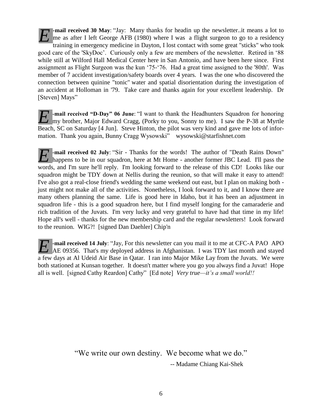**-mail received 30 May**: "Jay: Many thanks for headin up the newsletter..it means a lot to me as after I left George AFB (1980) where I was a flight surgeon to go to a residency training in emergency medicine in Dayton, I lost contact with some great "sticks" who took good care of the 'SkyDoc'. Curiously only a few are members of the newsletter. Retired in '88 while still at Wilford Hall Medical Center here in San Antonio, and have been here since. First assignment as Flight Surgeon was the kun '75-'76. Had a great time assigned to the '80th'. Was member of 7 accident investigation/safety boards over 4 years. I was the one who discovered the connection between quinine "tonic" water and spatial disorientation during the investigation of an accident at Holloman in '79. Take care and thanks again for your excellent leadership. Dr [Steven] Mays" *E*

**-mail received "D-Day" 06 June**: "I want to thank the Headhunters Squadron for honoring **E** mail received "D-Day" 06 June: "I want to thank the Headhunters Squadron for honoring my brother, Major Edward Cragg, (Porky to you, Sonny to me). I saw the P-38 at Myrtle Beach, SC on Saturday [4 Jun]. Steve Hinton, the pilot was very kind and gave me lots of information. Thank you again, Bunny Cragg Wysowski" [wysowski@starfishnet.com](mailto:wysowski@starfishnet.com)

*F* -mail received 02 July: "Sir - Thanks for the words! The author of "Death Rains Down" happens to be in our squadron, here at Mt Home - another former JBC Lead. I'll pass the happens to be in our squadron, here at Mt Home - another former JBC Lead. I'll pass the words, and I'm sure he'll reply. I'm looking forward to the release of this CD! Looks like our squadron might be TDY down at Nellis during the reunion, so that will make it easy to attend! I've also got a real-close friend's wedding the same weekend out east, but I plan on making both just might not make all of the activities. Nonetheless, I look forward to it, and I know there are many others planning the same. Life is good here in Idaho, but it has been an adjustment in squadron life - this is a good squadron here, but I find myself longing for the camaraderie and rich tradition of the Juvats. I'm very lucky and very grateful to have had that time in my life! Hope all's well - thanks for the new membership card and the regular newsletters! Look forward to the reunion. WIG?! [signed Dan Daehler] Chip'n

**-mail received 14 July**: "Jay, For this newsletter can you mail it to me at CFC-A PAO APO **AE** - mail received 14 July: "Jay, For this newsletter can you mail it to me at CFC-A PAO APO AE 09356. That's my deployed address in Afghanistan. I was TDY last month and stayed a few days at Al Udeid Air Base in Qatar. I ran into Major Mike Lay from the Juvats. We were both stationed at Kunsan together. It doesn't matter where you go you always find a Juvat! Hope all is well. [signed Cathy Reardon] Cathy" [Ed note] *Very true—it's a small world!!*

> "We write our own destiny. We become what we do." -- Madame Chiang Kai-Shek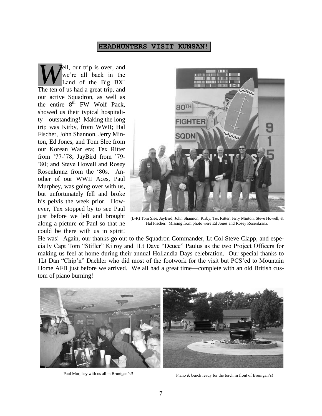#### **HEADHUNTERS VISIT KUNSAN!**

ell, our trip is over, and we're all back in the Land of the Big BX! **The ten of us had a** great trip, and The ten of us had a great trip, and our active Squadron, as well as the entire  $8^{th}$  FW Wolf Pack, showed us their typical hospitality—outstanding! Making the long trip was Kirby, from WWII; Hal Fischer, John Shannon, Jerry Minton, Ed Jones, and Tom Slee from our Korean War era; Tex Ritter from '77-'78; JayBird from '79- '80; and Steve Howell and Rosey Rosenkranz from the '80s. Another of our WWII Aces, Paul Murphey, was going over with us, but unfortunately fell and broke his pelvis the week prior. However, Tex stopped by to see Paul just before we left and brought along a picture of Paul so that he could be there with us in spirit!



(L-R) Tom Slee, JayBird, John Shannon, Kirby, Tex Ritter, Jerry Minton, Steve Howell, & Hal Fischer. Missing from photo were Ed Jones and Rosey Rosenkranz.

He was! Again, our thanks go out to the Squadron Commander, Lt Col Steve Clapp, and especially Capt Tom "Stifler" Kilroy and 1Lt Dave "Deuce" Paulus as the two Project Officers for making us feel at home during their annual Hollandia Days celebration. Our special thanks to 1Lt Dan "Chip'n" Daehler who did most of the footwork for the visit but PCS'ed to Mountain Home AFB just before we arrived. We all had a great time—complete with an old British custom of piano burning!



Paul Murphey with us all in Brunigan's!!<br>
Piano & bench ready for the torch in front of Brunigan's!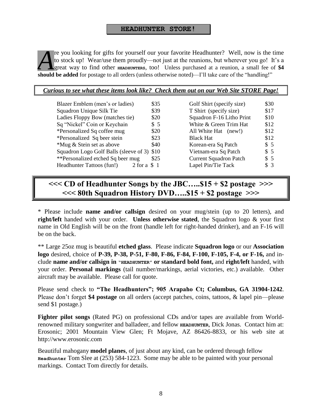#### **HEADHUNTER STORE!**

re you looking for gifts for yourself our your favorite Headhunter? Well, now is the time to stock up! Wear/use them proudly—not just at the reunions, but wherever you go! It's a great way to find other **HEADHUNTERS**, too! Unless purchased at a reunion, a small fee of **\$4 k** to stock up! Wear/use them proudly—not just at the reunions, but wherever you go! I great way to find other **HEADHUNTERS**, too! Unless purchased at a reunion, a small fee of **should be added** for postage to all orders

| Curious to see what these items look like? Check them out on our Web Site STORE Page! |  |
|---------------------------------------------------------------------------------------|--|
|                                                                                       |  |

| Blazer Emblem (men's or ladies)             | \$35             | Golf Shirt (specify size)     | \$30 |
|---------------------------------------------|------------------|-------------------------------|------|
| Squadron Unique Silk Tie                    | \$39             | T Shirt (specify size)        | \$17 |
| Ladies Floppy Bow (matches tie)             | \$20             | Squadron F-16 Litho Print     | \$10 |
| Sq "Nickel" Coin or Keychain                | \$5              | White & Green Trim Hat        | \$12 |
| *Personalized Sq coffee mug                 | \$20             | All White Hat (new!)          | \$12 |
| *Personalized Sq beer stein                 | \$23             | <b>Black Hat</b>              | \$12 |
| *Mug & Stein set as above                   | \$40             | Korean-era Sq Patch           | \$5  |
| Squadron Logo Golf Balls (sleeve of 3) \$10 |                  | Vietnam-era Sq Patch          | \$5  |
| **Personalized etched Sq beer mug           | \$25             | <b>Current Squadron Patch</b> | \$5  |
| Headhunter Tattoos (fun!)                   | $2$ for a $\$$ 1 | Lapel Pin/Tie Tack            | \$3  |
|                                             |                  |                               |      |

| Golf Shirt (specify size)     | \$30  |
|-------------------------------|-------|
| T Shirt (specify size)        | \$17  |
| Squadron F-16 Litho Print     | \$10  |
| White & Green Trim Hat        | \$12  |
| All White Hat (new!)          | \$12  |
| <b>Black Hat</b>              | \$12  |
| Korean-era Sq Patch           | \$5   |
| Vietnam-era Sq Patch          | \$5   |
| <b>Current Squadron Patch</b> | $\$5$ |
| Lapel Pin/Tie Tack            | \$3   |
|                               |       |

# **<<< CD of Headhunter Songs by the JBC…..\$15 + \$2 postage >>> <<< 80th Squadron History DVD…..\$15 + \$2 postage >>>**

\* Please include **name and/or callsign** desired on your mug/stein (up to 20 letters), and **right/left** handed with your order. **Unless otherwise stated**, the Squadron logo & your first name in Old English will be on the front (handle left for right-handed drinker), and an F-16 will be on the back.

\*\* Large 25oz mug is beautiful **etched glass**. Please indicate **Squadron logo** or our **Association logo** desired, choice of **P-39, P-38, P-51, F-80, F-86, F-84, F-100, F-105, F-4, or F-16,** and include **name and/or callsign in "HEADHUNTER" or standard bold font,** and **right/left** handed, with your order. **Personal markings** (tail number/markings, aerial victories, etc.) available. Other aircraft may be available. Please call for quote.

Please send check to **"The Headhunters"; 905 Arapaho Ct; Columbus, GA 31904-1242**. Please don't forget **\$4 postage** on all orders (accept patches, coins, tattoos, & lapel pin—please send \$1 postage.)

**Fighter pilot songs** (Rated PG) on professional CDs and/or tapes are available from Worldrenowned military songwriter and balladeer, and fellow **HEADHUNTER**, Dick Jonas. Contact him at: Erosonic; 2001 Mountain View Glen; Ft Mojave, AZ 86426-8833, or his web site at http://www.erosonic.com

Beautiful mahogany **model planes**, of just about any kind, can be ordered through fellow **Headhunter** Tom Slee at (253) 584-1223. Some may be able to be painted with your personal markings. Contact Tom directly for details.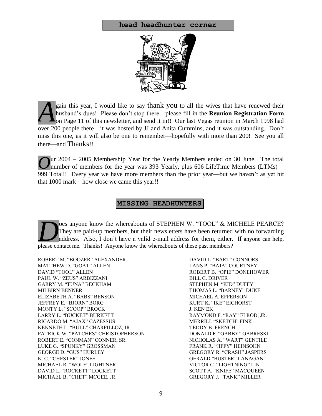#### **head headhunter corner**



gain this year, I would like to say thank you to all the wives that have renewed their husband's dues! Please don't stop there—please fill in the **Reunion Registration Form L** on Page 11 of this newsletter, and send it in!! Our last Vegas reunion in March 1998 had over 200 people there—it was hosted by JJ and Anita Cummins, and it was outstanding. Don't miss this one, as it will also be one to remember—hopefully with more than 200! See you all there—and Thanks!! *A*

ur 2004 – 2005 Membership Year for the Yearly Members ended on 30 June. The total Our 2004 – 2005 Membership Year for the Yearly Members ended on 30 June. The total number of members for the year was 393 Yearly, plus 606 LifeTime Members (LTMs)— 999 Total!! Every year we have more members than the prior year—but we haven't as yet hit that 1000 mark—how close we came this year!!

## **MISSING HEADHUNTERS**

oes anyone know the whereabouts of STEPHEN W. "TOOL" & MICHELE PEARCE? They are paid-up members, but their newsletters have been returned with no forwarding address. Also, I don't have a valid e-mail address for them, either. If anyone can help, **Des anyone know the whereabouts of STEPHEN W. "TOOL" & M** They are paid-up members, but their newsletters have been returned address. Also, I don't have a valid e-mail address for them, either. please contact me. Thanks!

ROBERT M. "BOOZER" ALEXANDER DAVID L. "BART" CONNORS MATTHEW D. "GOAT" ALLEN LANS P. "BAJA" COURTNEY DAVID "TOOL" ALLEN ROBERT B. "OPIE" DONEHOWER PAUL W. "ZEUS" ARBIZZANI BILL C. DRIVER GARRY M. "TUNA" BECKHAM STEPHEN M. "KID" DUFFY MILBIRN BENNER THOMAS L. "BARNEY" DUKE ELIZABETH A. "BABS" BENSON MICHAEL A. EFFERSON JEFFREY E. "BJORN" BORG KURT K. "IKE" EICHORST MONTY L. "SCOOP" BROCK J. KEN EK LARRY L. "BUCKET" BURKETT RAYMOND F. "RAY" ELROD, JR. RICARDO M. "AJAX" CAZESSUS MERRILL "SKETCH" FINK KENNETH L. "BULL" CHARPILLOZ, JR. TEDDY B. FRENCH PATRICK W. "PATCHES" CHRISTOPHERSON DONALD F. "GABBY" GABRESKI ROBERT E. "CONMAN" CONNER, SR. NICHOLAS A. "WART" GENTILE LUKE G. "SPUNKY" GROSSMAN FRANK R. "JIFFY" HEINSOHN GEORGE D. "GUS" HURLEY GREGORY R. "CRASH" JASPERS K. C. "CHESTER" JONES GERALD "BUSTER" LANAGAN MICHAEL R. "WOLF" LIGHTNER VICTOR C. "LIGHTNING" LIN DAVID L. "ROCKETT" LOCKETT SCOTT A. "KNIFE" MACQUEEN MICHAEL B. "CHET" MCGEE, JR. GREGORY J. "TANK" MILLER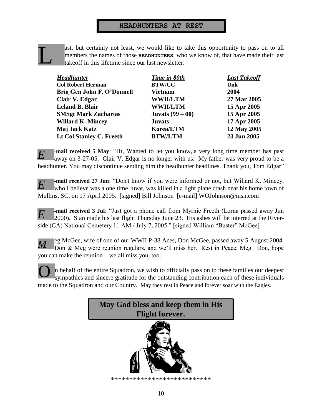## **HEADHUNTERS AT REST**

L

ast, but certainly not least, we would like to take this opportunity to pass on to all members the names of those **HEADHUNTERS**, who we know of, that have made their last takeoff in this lifetime since our last newsletter.

| Time in 80th              | <b>Last Takeoff</b> |
|---------------------------|---------------------|
| <b>BTW/CC</b>             | Unk                 |
| <b>Vietnam</b>            | 2004                |
| <b>WWII/LTM</b>           | 27 Mar 2005         |
| <b>WWII/LTM</b>           | 15 Apr 2005         |
| <b>Juvats</b> $(99 - 00)$ | 15 Apr 2005         |
| <b>Juvats</b>             | 17 Apr 2005         |
| Korea/LTM                 | 12 May 2005         |
| <b>BTW/LTM</b>            | 23 Jun 2005         |
|                           |                     |

**-mail received 5 May**: "Hi, Wanted to let you know, a very long time member has past away on 3-27-05. Clair V. Edgar is no longer with us. My father was very proud to be a headhunter. You may discontinue sending him the headhunter headlines. Thank you, Tom Edgar" *E*

**-mail received 27 Jun**: "Don't know if you were informed or not, but Willard K. Mincey, who I believe was a one time Juvat, was killed in a light plane crash near his home town of Mullins, SC, on 17 April 2005. [signed] Bill Johnson [e-mail] WOJohnson@msn.com *E*

**-mail received 3 Jul**: "Just got a phone call from Myrnie Freeth (Lorna passed away Jun 2000). Stan made his last flight Thursday June 23. His ashes will be interred at the Riverside (CA) National Cemetery 11 AM / July 7, 2005." [signed William "Buster" McGee] *E*

eg McGee, wife of one of our WWII P-38 Aces, Don McGee, passed away 5 August 2004. Don & Meg were reunion regulars, and we'll miss her. Rest in Peace, Meg. Don, hope you can make the reunion—we all miss you, too. *M*

n behalf of the entire Squadron, we wish to officially pass on to these families our deepest sympathies and sincere gratitude for the outstanding contribution each of these individuals made to the Squadron and our Country. May they rest in Peace and forever soar with the Eagles. O



\*\*\*\*\*\*\*\*\*\*\*\*\*\*\*\*\*\*\*\*\*\*\*\*\*\*\*